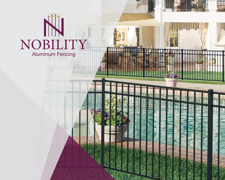# NOBILITY Aluminum Fencing

类与容别

Щ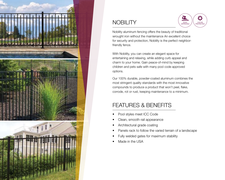

# **NOBILITY**



Nobility aluminum fencing offers the beauty of traditional wrought iron without the maintenance An excellent choice for security and protection, Nobility is the perfect neighborfriendly fence.

With Nobility, you can create an elegant space for entertaining and relaxing, while adding curb appeal and charm to your home. Gain peace-of-mind by keeping children and pets safe with many pool code approved options.

Our 100% durable, powder-coated aluminum combines the most stringent quality standards with the most innovative compounds to produce a product that won't peel, flake, corrode, rot or rust, keeping maintenance to a minimum.

# FEATURES & BENEFITS

- Pool styles meet ICC Code
- Clean, smooth rail appearance
- Architectural grade coating
- Panels rack to follow the varied terrain of a landscape
- Fully welded gates for maximum stability
- Made in the USA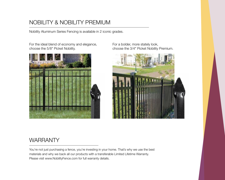## NOBILITY & NOBILITY PREMIUM

Nobility Aluminum Series Fencing is available in 2 iconic grades.

For the ideal blend of economy and elegance, choose the 5/8" Picket Nobility.



For a bolder, more stately look, choose the 3/4" Picket Nobility Premium.



#### **WARRANTY**

You're not just purchasing a fence, you're investing in your home. That's why we use the best materials and why we back all our products with a transferable Limited Lifetime Warranty. Please visit www.NobilityFence.com for full warranty details.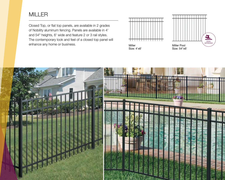#### MILLER

Closed Top, or flat top panels, are available in 2 grades of Nobility aluminum fencing. Panels are available in 4' and 54" heights, 6' wide and feature 2 or 3 rail styles. The contemporary look and feel of a closed top panel will enhance any home or business. The contract of the matter of the Miller Pool of the Miller Pool



Size: 4'x6'



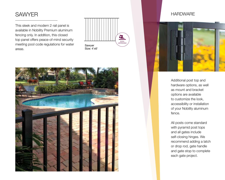#### **SAWYER**

This sleek and modern 2 rail panel is available in Nobility Premium aluminum fencing only. In addition, this closed top panel offers peace-of-mind security meeting pool code regulations for water areas.



#### **HARDWARE**



Additional post top and hardware options, as well as mount and bracket options are available to customize the look, accessibility or installation of your Nobility aluminum fence.

All posts come standard with pyramid post tops and all gates include self-closing hinges. We recommend adding a latch or drop rod, gate handle and gate stop to complete each gate project.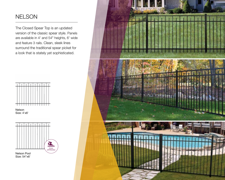#### NELSON

The Closed Spear Top is an updated version of the classic spear style. Panels are available in 4' and 54" heights, 6' wide and feature 3 rails. Clean, sleek lines surround the traditional spear picket for a look that is stately yet sophisticated.







Size: 54"x6'

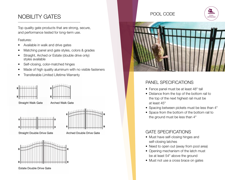### NOBILITY GATES

Top quality gate products that are strong, secure, and performance tested for long-term use.

#### Features:

- Available in walk and drive gates
- Matching panel and gate styles, colors & grades
- Straight, Arched or Estate (double drive only) styles available
- Self-closing, color-matched hinges
- Made of high quality aluminum with no visible fasteners
- Transferable Limited Lifetime Warranty





Straight Walk Gate

Arched Walk Gate



Straight Double Drive Gate Arched Double Drive Gate





Estate Double Drive Gate

#### POOL CODE



POOL APPROVED

#### PANEL SPECIFICATIONS

- Fence panel must be at least 48" tall
- Distance from the top of the bottom rail to the top of the next highest rail must be at least 45"
- Spacing between pickets must be less than 4"
- Space from the bottom of the bottom rail to the ground must be less than 4"

#### GATE SPECIFICATIONS

- Must have self-closing hinges and self-closing latches
- Need to open out (away from pool area)
- Opening mechanism of the latch must be at least 54" above the ground
- Must not use a cross brace on gates